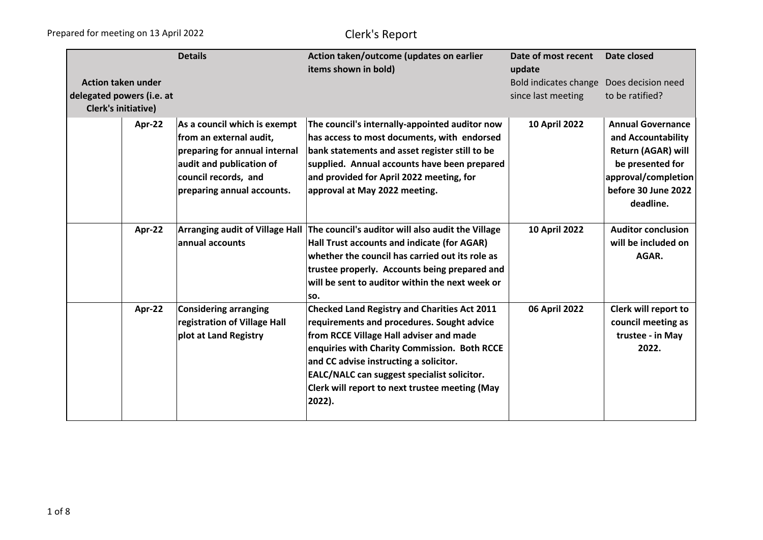|                            |        | <b>Details</b>                         | Action taken/outcome (updates on earlier            | Date of most recent   | Date closed               |
|----------------------------|--------|----------------------------------------|-----------------------------------------------------|-----------------------|---------------------------|
|                            |        |                                        | items shown in bold)                                | update                |                           |
| <b>Action taken under</b>  |        |                                        |                                                     | Bold indicates change | Does decision need        |
| delegated powers (i.e. at  |        |                                        |                                                     | since last meeting    | to be ratified?           |
| <b>Clerk's initiative)</b> |        |                                        |                                                     |                       |                           |
|                            | Apr-22 | As a council which is exempt           | The council's internally-appointed auditor now      | <b>10 April 2022</b>  | <b>Annual Governance</b>  |
|                            |        | from an external audit,                | has access to most documents, with endorsed         |                       | and Accountability        |
|                            |        | preparing for annual internal          | bank statements and asset register still to be      |                       | <b>Return (AGAR) will</b> |
|                            |        | audit and publication of               | supplied. Annual accounts have been prepared        |                       | be presented for          |
|                            |        | council records, and                   | and provided for April 2022 meeting, for            |                       | approval/completion       |
|                            |        | preparing annual accounts.             | approval at May 2022 meeting.                       |                       | before 30 June 2022       |
|                            |        |                                        |                                                     |                       | deadline.                 |
|                            |        |                                        |                                                     |                       |                           |
|                            | Apr-22 | <b>Arranging audit of Village Hall</b> | The council's auditor will also audit the Village   | 10 April 2022         | <b>Auditor conclusion</b> |
|                            |        | annual accounts                        | Hall Trust accounts and indicate (for AGAR)         |                       | will be included on       |
|                            |        |                                        | whether the council has carried out its role as     |                       | AGAR.                     |
|                            |        |                                        | trustee properly. Accounts being prepared and       |                       |                           |
|                            |        |                                        | will be sent to auditor within the next week or     |                       |                           |
|                            |        |                                        | SO.                                                 |                       |                           |
|                            | Apr-22 | <b>Considering arranging</b>           | <b>Checked Land Registry and Charities Act 2011</b> | 06 April 2022         | Clerk will report to      |
|                            |        | registration of Village Hall           | requirements and procedures. Sought advice          |                       | council meeting as        |
|                            |        | plot at Land Registry                  | from RCCE Village Hall adviser and made             |                       | trustee - in May          |
|                            |        |                                        | enquiries with Charity Commission. Both RCCE        |                       | 2022.                     |
|                            |        |                                        | and CC advise instructing a solicitor.              |                       |                           |
|                            |        |                                        | EALC/NALC can suggest specialist solicitor.         |                       |                           |
|                            |        |                                        | Clerk will report to next trustee meeting (May      |                       |                           |
|                            |        |                                        | 2022).                                              |                       |                           |
|                            |        |                                        |                                                     |                       |                           |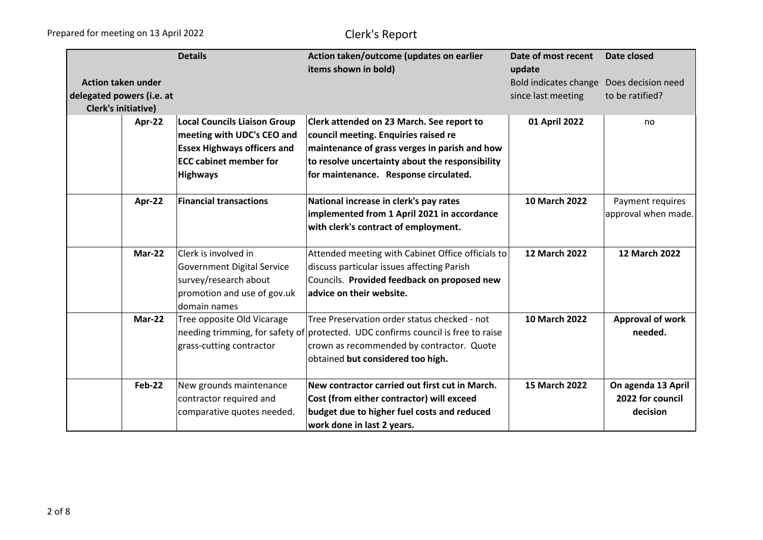|                            |               | <b>Details</b>                              | Action taken/outcome (updates on earlier<br>items shown in bold)                 | Date of most recent<br>update | Date closed             |
|----------------------------|---------------|---------------------------------------------|----------------------------------------------------------------------------------|-------------------------------|-------------------------|
| <b>Action taken under</b>  |               |                                             |                                                                                  | Bold indicates change         | Does decision need      |
| delegated powers (i.e. at  |               |                                             |                                                                                  | since last meeting            | to be ratified?         |
| <b>Clerk's initiative)</b> |               |                                             |                                                                                  |                               |                         |
|                            | Apr-22        | <b>Local Councils Liaison Group</b>         | Clerk attended on 23 March. See report to                                        | 01 April 2022                 | no                      |
|                            |               | meeting with UDC's CEO and                  | council meeting. Enquiries raised re                                             |                               |                         |
|                            |               | <b>Essex Highways officers and</b>          | maintenance of grass verges in parish and how                                    |                               |                         |
|                            |               | <b>ECC cabinet member for</b>               | to resolve uncertainty about the responsibility                                  |                               |                         |
|                            |               | <b>Highways</b>                             | for maintenance. Response circulated.                                            |                               |                         |
|                            | Apr-22        | <b>Financial transactions</b>               | National increase in clerk's pay rates                                           | 10 March 2022                 | Payment requires        |
|                            |               |                                             | implemented from 1 April 2021 in accordance                                      |                               | approval when made.     |
|                            |               |                                             | with clerk's contract of employment.                                             |                               |                         |
|                            |               |                                             |                                                                                  |                               |                         |
|                            | <b>Mar-22</b> | Clerk is involved in                        | Attended meeting with Cabinet Office officials to                                | <b>12 March 2022</b>          | <b>12 March 2022</b>    |
|                            |               | <b>Government Digital Service</b>           | discuss particular issues affecting Parish                                       |                               |                         |
|                            |               | survey/research about                       | Councils. Provided feedback on proposed new<br>advice on their website.          |                               |                         |
|                            |               | promotion and use of gov.uk<br>domain names |                                                                                  |                               |                         |
|                            | <b>Mar-22</b> | Tree opposite Old Vicarage                  | Tree Preservation order status checked - not                                     | <b>10 March 2022</b>          | <b>Approval of work</b> |
|                            |               |                                             | needing trimming, for safety of protected. UDC confirms council is free to raise |                               | needed.                 |
|                            |               | grass-cutting contractor                    | crown as recommended by contractor. Quote                                        |                               |                         |
|                            |               |                                             | obtained but considered too high.                                                |                               |                         |
|                            | <b>Feb-22</b> | New grounds maintenance                     | New contractor carried out first cut in March.                                   | 15 March 2022                 | On agenda 13 April      |
|                            |               | contractor required and                     | Cost (from either contractor) will exceed                                        |                               | 2022 for council        |
|                            |               | comparative quotes needed.                  | budget due to higher fuel costs and reduced                                      |                               | decision                |
|                            |               |                                             | work done in last 2 years.                                                       |                               |                         |
|                            |               |                                             |                                                                                  |                               |                         |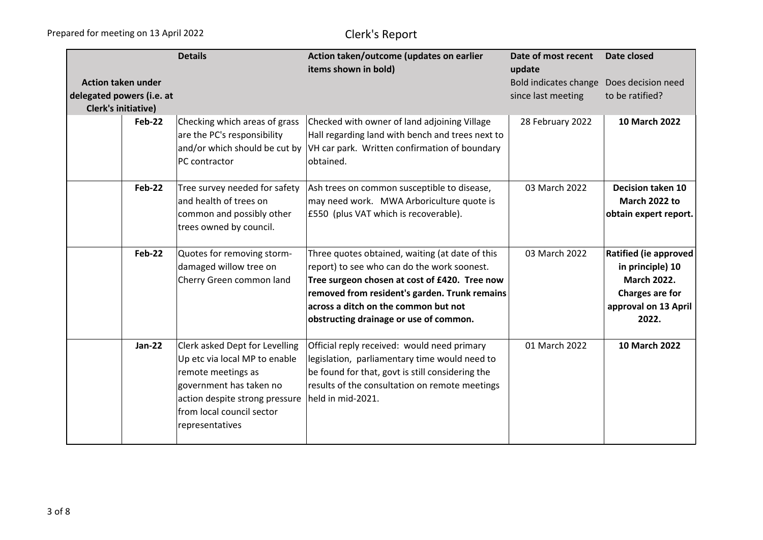|                                                                                      | <b>Details</b>                                                                                                                                                                                     | Action taken/outcome (updates on earlier<br>items shown in bold)                                                                                                                                                                                                                   | Date of most recent<br>update               | Date closed                                                                                                                |
|--------------------------------------------------------------------------------------|----------------------------------------------------------------------------------------------------------------------------------------------------------------------------------------------------|------------------------------------------------------------------------------------------------------------------------------------------------------------------------------------------------------------------------------------------------------------------------------------|---------------------------------------------|----------------------------------------------------------------------------------------------------------------------------|
| <b>Action taken under</b><br>delegated powers (i.e. at<br><b>Clerk's initiative)</b> |                                                                                                                                                                                                    |                                                                                                                                                                                                                                                                                    | Bold indicates change<br>since last meeting | Does decision need<br>to be ratified?                                                                                      |
| Feb-22                                                                               | Checking which areas of grass<br>are the PC's responsibility<br>and/or which should be cut by<br>PC contractor                                                                                     | Checked with owner of land adjoining Village<br>Hall regarding land with bench and trees next to<br>VH car park. Written confirmation of boundary<br>obtained.                                                                                                                     | 28 February 2022                            | 10 March 2022                                                                                                              |
| <b>Feb-22</b>                                                                        | Tree survey needed for safety<br>and health of trees on<br>common and possibly other<br>trees owned by council.                                                                                    | Ash trees on common susceptible to disease,<br>may need work. MWA Arboriculture quote is<br>£550 (plus VAT which is recoverable).                                                                                                                                                  | 03 March 2022                               | <b>Decision taken 10</b><br>March 2022 to<br>obtain expert report.                                                         |
| <b>Feb-22</b>                                                                        | Quotes for removing storm-<br>damaged willow tree on<br>Cherry Green common land                                                                                                                   | Three quotes obtained, waiting (at date of this<br>report) to see who can do the work soonest.<br>Tree surgeon chosen at cost of £420. Tree now<br>removed from resident's garden. Trunk remains<br>across a ditch on the common but not<br>obstructing drainage or use of common. | 03 March 2022                               | <b>Ratified (ie approved</b><br>in principle) 10<br><b>March 2022.</b><br>Charges are for<br>approval on 13 April<br>2022. |
| <b>Jan-22</b>                                                                        | Clerk asked Dept for Levelling<br>Up etc via local MP to enable<br>remote meetings as<br>government has taken no<br>action despite strong pressure<br>from local council sector<br>representatives | Official reply received: would need primary<br>legislation, parliamentary time would need to<br>be found for that, govt is still considering the<br>results of the consultation on remote meetings<br>held in mid-2021.                                                            | 01 March 2022                               | 10 March 2022                                                                                                              |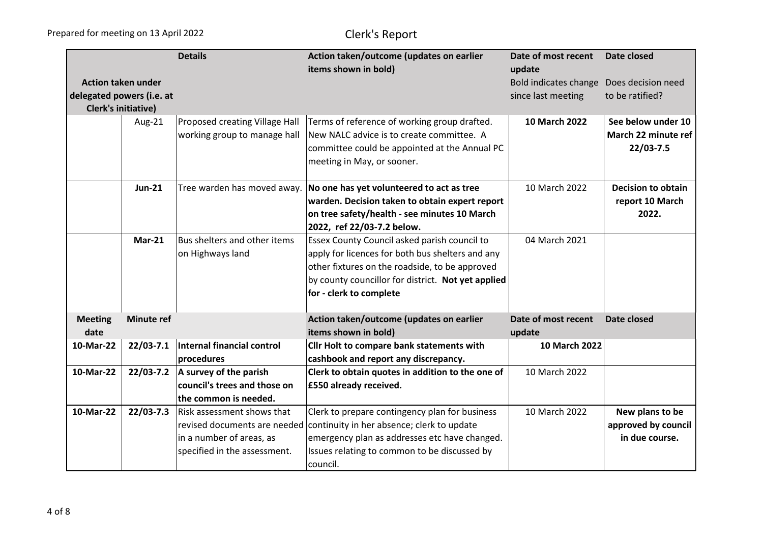|                            |                   | <b>Details</b>                    | Action taken/outcome (updates on earlier           | Date of most recent   | Date closed               |
|----------------------------|-------------------|-----------------------------------|----------------------------------------------------|-----------------------|---------------------------|
|                            |                   |                                   | items shown in bold)                               | update                |                           |
| <b>Action taken under</b>  |                   |                                   |                                                    | Bold indicates change | Does decision need        |
| delegated powers (i.e. at  |                   |                                   |                                                    | since last meeting    | to be ratified?           |
| <b>Clerk's initiative)</b> |                   |                                   |                                                    |                       |                           |
|                            | Aug-21            | Proposed creating Village Hall    | Terms of reference of working group drafted.       | 10 March 2022         | See below under 10        |
|                            |                   | working group to manage hall      | New NALC advice is to create committee. A          |                       | March 22 minute ref       |
|                            |                   |                                   | committee could be appointed at the Annual PC      |                       | 22/03-7.5                 |
|                            |                   |                                   | meeting in May, or sooner.                         |                       |                           |
|                            | <b>Jun-21</b>     | Tree warden has moved away.       | No one has yet volunteered to act as tree          | 10 March 2022         | <b>Decision to obtain</b> |
|                            |                   |                                   | warden. Decision taken to obtain expert report     |                       | report 10 March           |
|                            |                   |                                   | on tree safety/health - see minutes 10 March       |                       | 2022.                     |
|                            |                   |                                   | 2022, ref 22/03-7.2 below.                         |                       |                           |
|                            | $Mar-21$          | Bus shelters and other items      | Essex County Council asked parish council to       | 04 March 2021         |                           |
|                            |                   | on Highways land                  | apply for licences for both bus shelters and any   |                       |                           |
|                            |                   |                                   | other fixtures on the roadside, to be approved     |                       |                           |
|                            |                   |                                   | by county councillor for district. Not yet applied |                       |                           |
|                            |                   |                                   | for - clerk to complete                            |                       |                           |
| <b>Meeting</b>             | <b>Minute ref</b> |                                   | Action taken/outcome (updates on earlier           | Date of most recent   | Date closed               |
| date                       |                   |                                   | items shown in bold)                               | update                |                           |
| 10-Mar-22                  | $22/03 - 7.1$     | <b>Internal financial control</b> | Cllr Holt to compare bank statements with          | 10 March 2022         |                           |
|                            |                   | procedures                        | cashbook and report any discrepancy.               |                       |                           |
| 10-Mar-22                  | $22/03 - 7.2$     | A survey of the parish            | Clerk to obtain quotes in addition to the one of   | 10 March 2022         |                           |
|                            |                   | council's trees and those on      | £550 already received.                             |                       |                           |
|                            |                   | the common is needed.             |                                                    |                       |                           |
| 10-Mar-22                  | $22/03 - 7.3$     | Risk assessment shows that        | Clerk to prepare contingency plan for business     | 10 March 2022         | New plans to be           |
|                            |                   | revised documents are needed      | continuity in her absence; clerk to update         |                       | approved by council       |
|                            |                   | in a number of areas, as          | emergency plan as addresses etc have changed.      |                       | in due course.            |
|                            |                   | specified in the assessment.      | Issues relating to common to be discussed by       |                       |                           |
|                            |                   |                                   | council.                                           |                       |                           |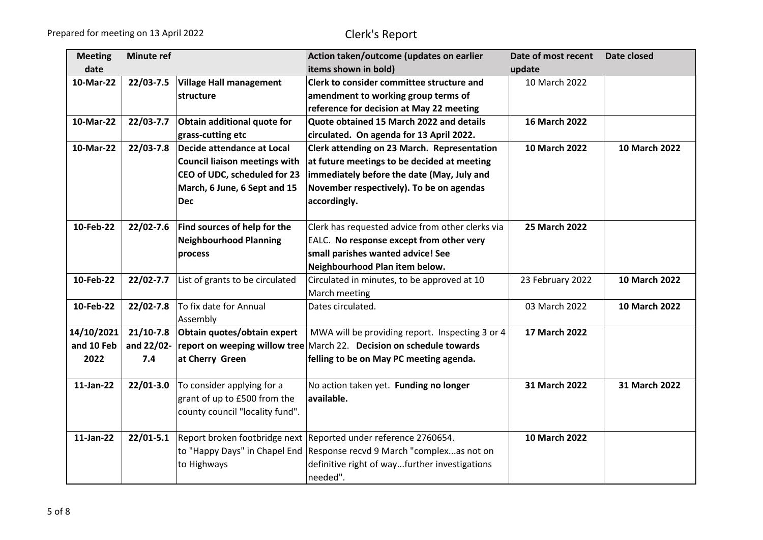| <b>Meeting</b> | <b>Minute ref</b> |                                      | Action taken/outcome (updates on earlier                             | Date of most recent  | Date closed          |
|----------------|-------------------|--------------------------------------|----------------------------------------------------------------------|----------------------|----------------------|
| date           |                   |                                      | items shown in bold)                                                 | update               |                      |
| 10-Mar-22      | 22/03-7.5         | <b>Village Hall management</b>       | Clerk to consider committee structure and                            | 10 March 2022        |                      |
|                |                   | structure                            | amendment to working group terms of                                  |                      |                      |
|                |                   |                                      | reference for decision at May 22 meeting                             |                      |                      |
| 10-Mar-22      | 22/03-7.7         | Obtain additional quote for          | Quote obtained 15 March 2022 and details                             | <b>16 March 2022</b> |                      |
|                |                   | grass-cutting etc                    | circulated. On agenda for 13 April 2022.                             |                      |                      |
| 10-Mar-22      | $22/03 - 7.8$     | Decide attendance at Local           | Clerk attending on 23 March. Representation                          | 10 March 2022        | 10 March 2022        |
|                |                   | <b>Council liaison meetings with</b> | at future meetings to be decided at meeting                          |                      |                      |
|                |                   | CEO of UDC, scheduled for 23         | immediately before the date (May, July and                           |                      |                      |
|                |                   | March, 6 June, 6 Sept and 15         | November respectively). To be on agendas                             |                      |                      |
|                |                   | <b>Dec</b>                           | accordingly.                                                         |                      |                      |
|                |                   |                                      |                                                                      |                      |                      |
| 10-Feb-22      | 22/02-7.6         | Find sources of help for the         | Clerk has requested advice from other clerks via                     | <b>25 March 2022</b> |                      |
|                |                   | <b>Neighbourhood Planning</b>        | EALC. No response except from other very                             |                      |                      |
|                |                   | process                              | small parishes wanted advice! See                                    |                      |                      |
|                |                   |                                      | Neighbourhood Plan item below.                                       |                      |                      |
| 10-Feb-22      | 22/02-7.7         | List of grants to be circulated      | Circulated in minutes, to be approved at 10                          | 23 February 2022     | <b>10 March 2022</b> |
|                |                   |                                      | March meeting                                                        |                      |                      |
| 10-Feb-22      | $22/02 - 7.8$     | To fix date for Annual               | Dates circulated.                                                    | 03 March 2022        | 10 March 2022        |
|                |                   | Assembly                             |                                                                      |                      |                      |
| 14/10/2021     | $21/10-7.8$       | Obtain quotes/obtain expert          | MWA will be providing report. Inspecting 3 or 4                      | 17 March 2022        |                      |
| and 10 Feb     | and 22/02-        |                                      | report on weeping willow tree March 22. Decision on schedule towards |                      |                      |
| 2022           | 7.4               | at Cherry Green                      | felling to be on May PC meeting agenda.                              |                      |                      |
|                |                   |                                      |                                                                      |                      |                      |
| 11-Jan-22      | $22/01 - 3.0$     | To consider applying for a           | No action taken yet. Funding no longer                               | 31 March 2022        | 31 March 2022        |
|                |                   | grant of up to £500 from the         | available.                                                           |                      |                      |
|                |                   | county council "locality fund".      |                                                                      |                      |                      |
|                |                   |                                      |                                                                      |                      |                      |
| 11-Jan-22      | $22/01 - 5.1$     |                                      | Report broken footbridge next Reported under reference 2760654.      | <b>10 March 2022</b> |                      |
|                |                   | to "Happy Days" in Chapel End        | Response recvd 9 March "complexas not on                             |                      |                      |
|                |                   | to Highways                          | definitive right of wayfurther investigations                        |                      |                      |
|                |                   |                                      | needed".                                                             |                      |                      |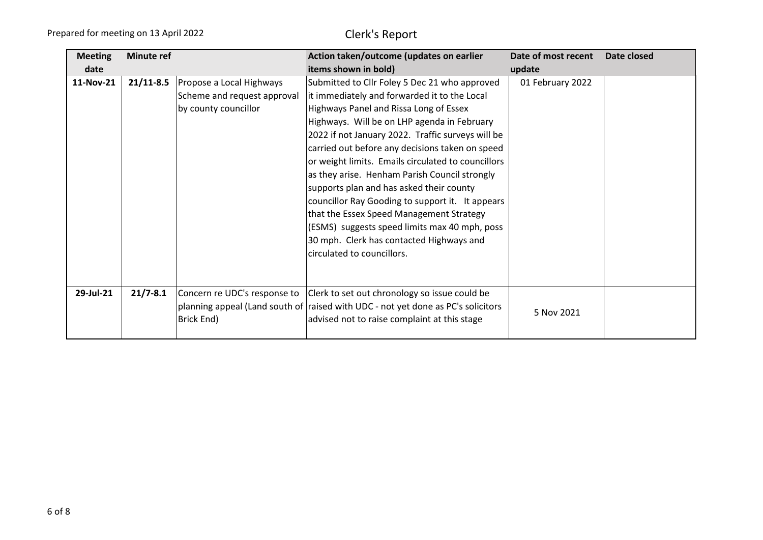| <b>Meeting</b><br>date | <b>Minute ref</b> |                                                                                 | Action taken/outcome (updates on earlier<br>items shown in bold)                                                                                                                                                                                                                                                                                                                                                                                                                                                                                                                                                                                                             | Date of most recent<br>update | Date closed |
|------------------------|-------------------|---------------------------------------------------------------------------------|------------------------------------------------------------------------------------------------------------------------------------------------------------------------------------------------------------------------------------------------------------------------------------------------------------------------------------------------------------------------------------------------------------------------------------------------------------------------------------------------------------------------------------------------------------------------------------------------------------------------------------------------------------------------------|-------------------------------|-------------|
| 11-Nov-21              | $21/11 - 8.5$     | Propose a Local Highways<br>Scheme and request approval<br>by county councillor | Submitted to Cllr Foley 5 Dec 21 who approved<br>it immediately and forwarded it to the Local<br>Highways Panel and Rissa Long of Essex<br>Highways. Will be on LHP agenda in February<br>2022 if not January 2022. Traffic surveys will be<br>carried out before any decisions taken on speed<br>or weight limits. Emails circulated to councillors<br>as they arise. Henham Parish Council strongly<br>supports plan and has asked their county<br>councillor Ray Gooding to support it. It appears<br>that the Essex Speed Management Strategy<br>(ESMS) suggests speed limits max 40 mph, poss<br>30 mph. Clerk has contacted Highways and<br>circulated to councillors. | 01 February 2022              |             |
| 29-Jul-21              | $21/7 - 8.1$      | Brick End)                                                                      | Concern re UDC's response to   Clerk to set out chronology so issue could be<br>planning appeal (Land south of raised with UDC - not yet done as PC's solicitors<br>advised not to raise complaint at this stage                                                                                                                                                                                                                                                                                                                                                                                                                                                             | 5 Nov 2021                    |             |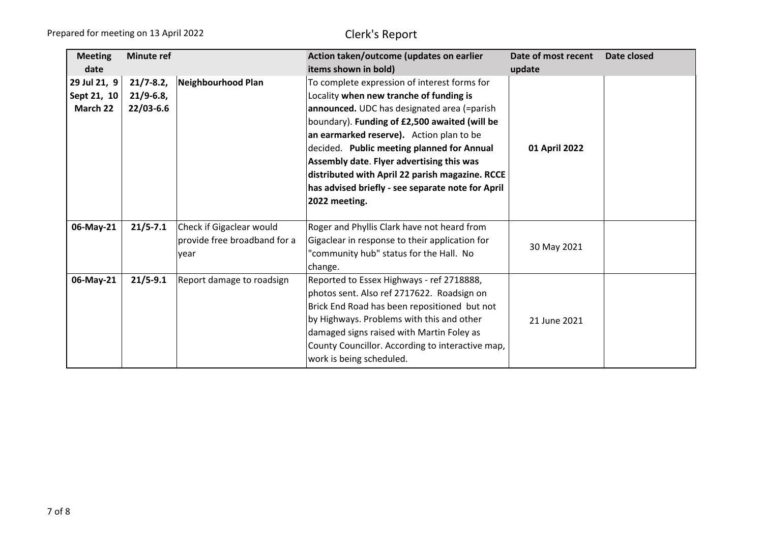| <b>Meeting</b>                          | <b>Minute ref</b>                         |                                                                  | Action taken/outcome (updates on earlier                                                                                                                                                                                                                                                                                                                                                                                                                | Date of most recent | Date closed |
|-----------------------------------------|-------------------------------------------|------------------------------------------------------------------|---------------------------------------------------------------------------------------------------------------------------------------------------------------------------------------------------------------------------------------------------------------------------------------------------------------------------------------------------------------------------------------------------------------------------------------------------------|---------------------|-------------|
| date                                    |                                           |                                                                  | items shown in bold)                                                                                                                                                                                                                                                                                                                                                                                                                                    | update              |             |
| 29 Jul 21, 9<br>Sept 21, 10<br>March 22 | $21/7 - 8.2$<br>$21/9 - 6.8$<br>22/03-6.6 | Neighbourhood Plan                                               | To complete expression of interest forms for<br>Locality when new tranche of funding is<br>announced. UDC has designated area (=parish<br>boundary). Funding of £2,500 awaited (will be<br>an earmarked reserve). Action plan to be<br>decided. Public meeting planned for Annual<br>Assembly date. Flyer advertising this was<br>distributed with April 22 parish magazine. RCCE<br>has advised briefly - see separate note for April<br>2022 meeting. | 01 April 2022       |             |
| 06-May-21                               | $21/5 - 7.1$                              | Check if Gigaclear would<br>provide free broadband for a<br>year | Roger and Phyllis Clark have not heard from<br>Gigaclear in response to their application for<br>"community hub" status for the Hall. No<br>change.                                                                                                                                                                                                                                                                                                     | 30 May 2021         |             |
| 06-May-21                               | $21/5 - 9.1$                              | Report damage to roadsign                                        | Reported to Essex Highways - ref 2718888,<br>photos sent. Also ref 2717622. Roadsign on<br>Brick End Road has been repositioned but not<br>by Highways. Problems with this and other<br>damaged signs raised with Martin Foley as<br>County Councillor. According to interactive map,<br>work is being scheduled.                                                                                                                                       | 21 June 2021        |             |